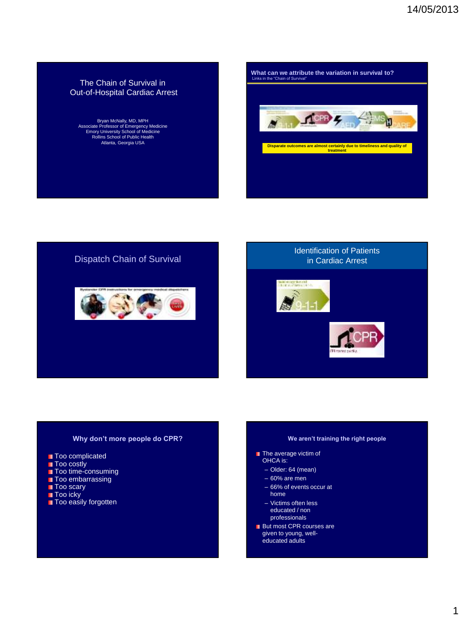## The Chain of Survival in Out-of-Hospital Cardiac Arrest

Bryan McNally, MD, MPH Associate Professor of Emergency Medicine Emory University School of Medicine Rollins School of Public Health Atlanta, Georgia USA

**What can we attribute the variation in survival to?** Links in the "Chain of Survival" **ACER 4**  $\overline{\mathbf{a}}$ Ш **Disparate outcomes are almost certainly due to timeliness and quality of treatment** 

### Dispatch Chain of Survival





### **Why don't more people do CPR?**

**Too complicated** 

- **Too costly**
- **Too time-consuming**
- **Too embarrassing**
- Too scary
- Too icky
- Too easily forgotten

### **We aren't training the right people**

- **The average victim of** 
	- OHCA is:
	- Older: 64 (mean)
	- 60% are men
	- 66% of events occur at home
	- Victims often less educated / non
	- professionals
- **But most CPR courses are** given to young, welleducated adults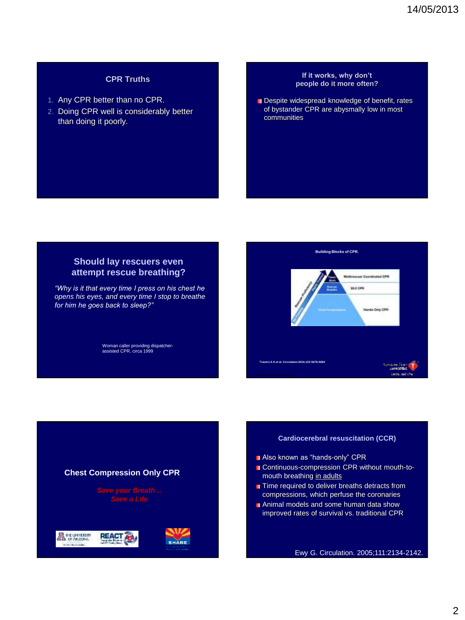# **CPR Truths**

- 1. Any CPR better than no CPR.
- 2. Doing CPR well is considerably better than doing it poorly.

### **If it works, why don't people do it more often?**

Despite widespread knowledge of benefit, rates of bystander CPR are abysmally low in most communities

# **Should lay rescuers even attempt rescue breathing?**

*"Why is it that every time I press on his chest he opens his eyes, and every time I stop to breathe for him he goes back to sleep?"*

Woman caller providing dispatcher-assisted CPR, circa 1999



### **Cardiocerebral resuscitation (CCR)**

- Also known as "hands-only" CPR
- Continuous-compression CPR without mouth-tomouth breathing in adults
- **T** Time required to deliver breaths detracts from compressions, which perfuse the coronaries
- Animal models and some human data show improved rates of survival vs. traditional CPR

Ewy G. Circulation. 2005;111:2134-2142.

## **Chest Compression Only CPR**

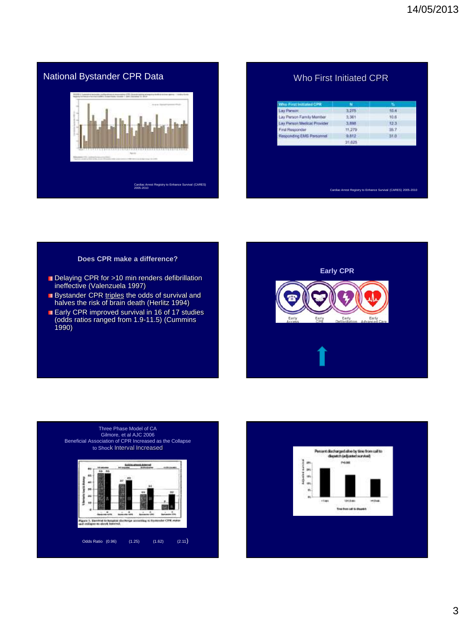# National Bystander CPR Data Cardiac Arrest Registry to Enhance Survival (CARES) 2005-2010

# Who First Initiated CPR

| <b>Who First Initiated CPR</b> | M        | w    |
|--------------------------------|----------|------|
| Lay Pienzer                    | 3,275    | 10.4 |
| Lay Person Family Member       | 3, 361   | 10.6 |
| Lay Person Medical Provider    | 3,003    | 12.3 |
| First Responder                | tt279    | 35.7 |
| Responding EMS Personnel       | $-9.612$ | 31.0 |
|                                | 31,625   |      |
|                                |          |      |
|                                |          |      |
|                                |          |      |
|                                |          |      |
|                                |          |      |
|                                |          |      |

### **Does CPR make a difference?**

- Delaying CPR for >10 min renders defibrillation ineffective (Valenzuela 1997)
- Bystander CPR triples the odds of survival and halves the risk of brain death (Herlitz 1994)
- Early CPR improved survival in 16 of 17 studies (odds ratios ranged from 1.9-11.5) (Cummins 1990)





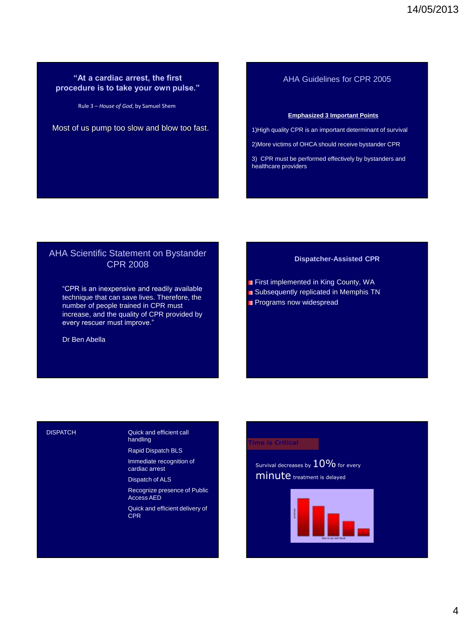# **"At a cardiac arrest, the first procedure is to take your own pulse."**

Rule 3 – *House of God*, by Samuel Shem

Most of us pump too slow and blow too fast.

# AHA Guidelines for CPR 2005

### **Emphasized 3 Important Points**

1)High quality CPR is an important determinant of survival

2)More victims of OHCA should receive bystander CPR

3) CPR must be performed effectively by bystanders and healthcare providers

# AHA Scientific Statement on Bystander CPR 2008

"CPR is an inexpensive and readily available technique that can save lives. Therefore, the number of people trained in CPR must increase, and the quality of CPR provided by every rescuer must improve."

Dr Ben Abella

### **Dispatcher-Assisted CPR**

- **First implemented in King County, WA**
- **Subsequently replicated in Memphis TN**
- **Programs now widespread**

### **DISPATCH**

### Quick and efficient call handling

Rapid Dispatch BLS Immediate recognition of cardiac arrest

Dispatch of ALS

Recognize presence of Public Access AED

Quick and efficient delivery of **CPR** 

### **Time is Critical**

Survival decreases by  $10\%$  for every minute treatment is delayed

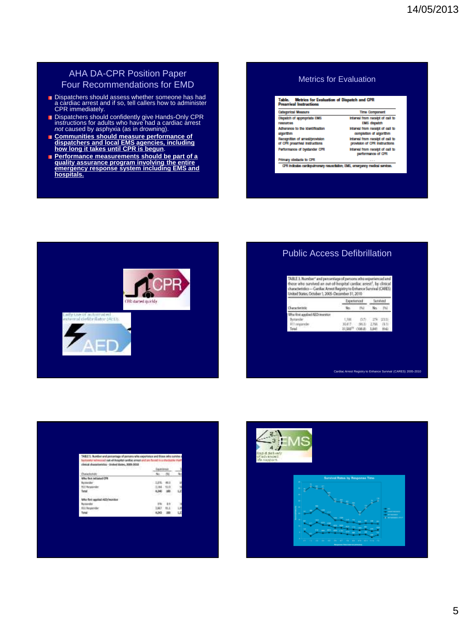# AHA DA-CPR Position Paper Four Recommendations for EMD

- Dispatchers should assess whether someone has had a cardiac arrest and if so, tell callers how to administer CPR immediately.
- Dispatchers should confidently give Hands-Only CPR instructions for adults who have had a cardiac arrest *not* caused by asphyxia (as in drowning).
- **Communities should measure performance of dispatchers and local EMS agencies, including how long it takes until CPR is begun**.
- **Performance measurements should be part of a quality assurance program involving the entire emergency response system including EMS and hospitals.**

### Metrics for Evaluation

### Table. Metrics for Evaluation of Dispatch and CPR<br>Prearrival Instructions Categorical Measure Time Component Dispatch of appropriate EMS Interval from receipt of call to roscumos **EMS** dispatch Adharance to the identification interval from receipt of call to sigorithm completion of algorithm Recognition of arrest/provision<br>of CPR preamival instructions Interval from receipt of call to<br>provision of CPR instructions interval from receipt of call to<br>performance of CPR Partormance of bystander CPR Primary obstacle to CPR CPR indicates conditioning resumbation; EMS, omargancy modes) sovietes.



# Public Access Defibrillation

| TABLE 3. Number* and percentage of persons who experienced and<br>those who survived an out-of-bospital cardiac assest", by clinical<br>characteristics - Curstus: Arrest Registry to Enthurse Survival (CARES)<br>United States, October 1, 2005-December 31, 2010 |                    |          |        |          |  |
|---------------------------------------------------------------------------------------------------------------------------------------------------------------------------------------------------------------------------------------------------------------------|--------------------|----------|--------|----------|--|
|                                                                                                                                                                                                                                                                     | Frantenced         |          |        |          |  |
| <b>haracteristic</b>                                                                                                                                                                                                                                                |                    |          |        |          |  |
| When Birth appointed AED reservings                                                                                                                                                                                                                                 |                    |          |        |          |  |
| Buttanch                                                                                                                                                                                                                                                            | 1,168              | CL33     | $-174$ | CELES-   |  |
| 411 import                                                                                                                                                                                                                                                          |                    | $-86.32$ | 2,758  | $-13.71$ |  |
| Texa                                                                                                                                                                                                                                                                | ST 59377 - (NOR B) |          |        |          |  |

Cardiac Arrest Registry to Enhance Survival (CARES) 2005-2010

| one time transaction in this detailed its date for the total and the | TABLE 1. Number and plenomoge of pensins who experience |              |          |
|----------------------------------------------------------------------|---------------------------------------------------------|--------------|----------|
| and characteristics - divised blates, 3006-3018                      |                                                         |              |          |
| <u>Thursday, marked block and</u>                                    | -                                                       |              |          |
| <b>Charlestown</b><br><b>KIND OF</b>                                 |                                                         |              |          |
| <b>Rest Initiated CTR</b>                                            |                                                         |              |          |
| <b>ButAklay</b>                                                      | <b>LIN. 440</b>                                         |              | Ĵ,       |
| <b>RIT Ausparent</b>                                                 |                                                         | 2,184 . 113. | 18       |
| 7.77777<br>letal                                                     | 6,540<br>지난한 동화                                         | 100.         | ĽĖ<br>13 |
| Satisfacturer of the control<br>is first spotial AED/monitor         |                                                         |              |          |
|                                                                      | <b>Concerto</b>                                         |              |          |
| w.<br>ELL Recurrentes                                                | 11, 22, 21                                              | HLL-         | Lit      |
| ---                                                                  | 4,243                                                   | ж            | LZ       |